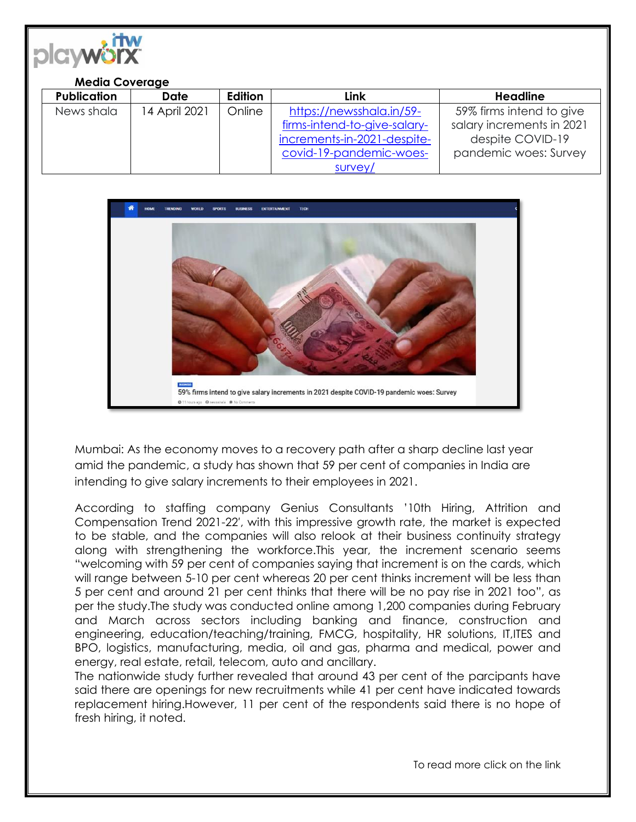

## **Media Coverage Publication Date Edition Link Headline** News shala | 14 April 2021 | Online | [https://newsshala.in/59](https://newsshala.in/59-firms-intend-to-give-salary-increments-in-2021-despite-covid-19-pandemic-woes-survey/) [firms-intend-to-give-salary](https://newsshala.in/59-firms-intend-to-give-salary-increments-in-2021-despite-covid-19-pandemic-woes-survey/)[increments-in-2021-despite](https://newsshala.in/59-firms-intend-to-give-salary-increments-in-2021-despite-covid-19-pandemic-woes-survey/)[covid-19-pandemic-woes](https://newsshala.in/59-firms-intend-to-give-salary-increments-in-2021-despite-covid-19-pandemic-woes-survey/)[survey/](https://newsshala.in/59-firms-intend-to-give-salary-increments-in-2021-despite-covid-19-pandemic-woes-survey/) 59% firms intend to give salary increments in 2021 despite COVID-19 pandemic woes: Survey



Mumbai: As the economy moves to a recovery path after a sharp decline last year amid the pandemic, a study has shown that 59 per cent of companies in India are intending to give salary increments to their employees in 2021.

According to staffing company Genius Consultants '10th Hiring, Attrition and Compensation Trend 2021-22′, with this impressive growth rate, the market is expected to be stable, and the companies will also relook at their business continuity strategy along with strengthening the workforce.This year, the increment scenario seems "welcoming with 59 per cent of companies saying that increment is on the cards, which will range between 5-10 per cent whereas 20 per cent thinks increment will be less than 5 per cent and around 21 per cent thinks that there will be no pay rise in 2021 too", as per the study.The study was conducted online among 1,200 companies during February and March across sectors including banking and finance, construction and engineering, education/teaching/training, FMCG, hospitality, HR solutions, IT,ITES and BPO, logistics, manufacturing, media, oil and gas, pharma and medical, power and energy, real estate, retail, telecom, auto and ancillary.

The nationwide study further revealed that around 43 per cent of the parcipants have said there are openings for new recruitments while 41 per cent have indicated towards replacement hiring.However, 11 per cent of the respondents said there is no hope of fresh hiring, it noted.

To read more click on the link